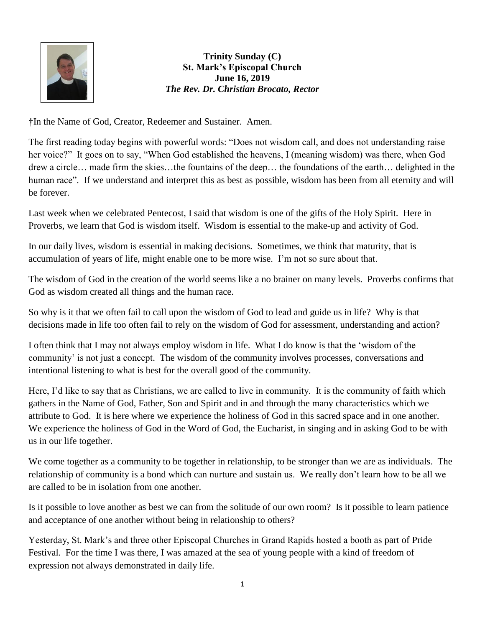

**Trinity Sunday (C) St. Mark's Episcopal Church June 16, 2019** *The Rev. Dr. Christian Brocato, Rector*

**†**In the Name of God, Creator, Redeemer and Sustainer. Amen.

The first reading today begins with powerful words: "Does not wisdom call, and does not understanding raise her voice?" It goes on to say, "When God established the heavens, I (meaning wisdom) was there, when God drew a circle… made firm the skies…the fountains of the deep… the foundations of the earth… delighted in the human race". If we understand and interpret this as best as possible, wisdom has been from all eternity and will be forever.

Last week when we celebrated Pentecost, I said that wisdom is one of the gifts of the Holy Spirit. Here in Proverbs, we learn that God is wisdom itself. Wisdom is essential to the make-up and activity of God.

In our daily lives, wisdom is essential in making decisions. Sometimes, we think that maturity, that is accumulation of years of life, might enable one to be more wise. I'm not so sure about that.

The wisdom of God in the creation of the world seems like a no brainer on many levels. Proverbs confirms that God as wisdom created all things and the human race.

So why is it that we often fail to call upon the wisdom of God to lead and guide us in life? Why is that decisions made in life too often fail to rely on the wisdom of God for assessment, understanding and action?

I often think that I may not always employ wisdom in life. What I do know is that the 'wisdom of the community' is not just a concept. The wisdom of the community involves processes, conversations and intentional listening to what is best for the overall good of the community.

Here, I'd like to say that as Christians, we are called to live in community. It is the community of faith which gathers in the Name of God, Father, Son and Spirit and in and through the many characteristics which we attribute to God. It is here where we experience the holiness of God in this sacred space and in one another. We experience the holiness of God in the Word of God, the Eucharist, in singing and in asking God to be with us in our life together.

We come together as a community to be together in relationship, to be stronger than we are as individuals. The relationship of community is a bond which can nurture and sustain us. We really don't learn how to be all we are called to be in isolation from one another.

Is it possible to love another as best we can from the solitude of our own room? Is it possible to learn patience and acceptance of one another without being in relationship to others?

Yesterday, St. Mark's and three other Episcopal Churches in Grand Rapids hosted a booth as part of Pride Festival. For the time I was there, I was amazed at the sea of young people with a kind of freedom of expression not always demonstrated in daily life.